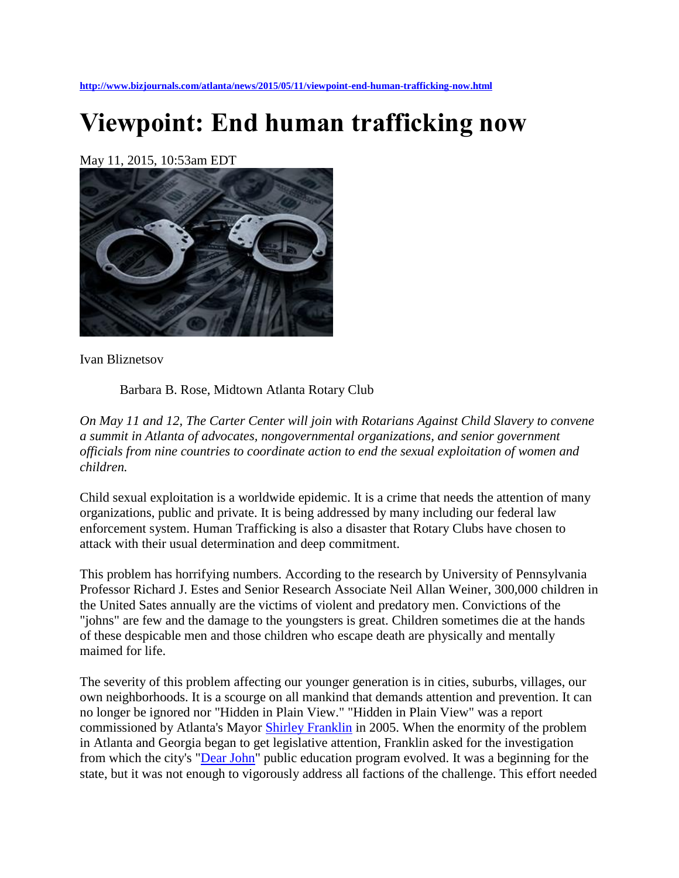**<http://www.bizjournals.com/atlanta/news/2015/05/11/viewpoint-end-human-trafficking-now.html>**

## **Viewpoint: End human trafficking now**

May 11, 2015, 10:53am EDT



Ivan Bliznetsov

Barbara B. Rose, Midtown Atlanta Rotary Club

*On May 11 and 12, The Carter Center will join with Rotarians Against Child Slavery to convene a summit in Atlanta of advocates, nongovernmental organizations, and senior government officials from nine countries to coordinate action to end the sexual exploitation of women and children.*

Child sexual exploitation is a worldwide epidemic. It is a crime that needs the attention of many organizations, public and private. It is being addressed by many including our federal law enforcement system. Human Trafficking is also a disaster that Rotary Clubs have chosen to attack with their usual determination and deep commitment.

This problem has horrifying numbers. According to the research by University of Pennsylvania Professor Richard J. Estes and Senior Research Associate Neil Allan Weiner, 300,000 children in the United Sates annually are the victims of violent and predatory men. Convictions of the "johns" are few and the damage to the youngsters is great. Children sometimes die at the hands of these despicable men and those children who escape death are physically and mentally maimed for life.

The severity of this problem affecting our younger generation is in cities, suburbs, villages, our own neighborhoods. It is a scourge on all mankind that demands attention and prevention. It can no longer be ignored nor "Hidden in Plain View." "Hidden in Plain View" was a report commissioned by Atlanta's Mayor [Shirley Franklin](http://www.bizjournals.com/atlanta/search/results?q=Shirley%20Franklin) in 2005. When the enormity of the problem in Atlanta and Georgia began to get legislative attention, Franklin asked for the investigation from which the city's ["Dear John"](http://www.bizjournals.com/atlanta/search/results?q=Dear%20John) public education program evolved. It was a beginning for the state, but it was not enough to vigorously address all factions of the challenge. This effort needed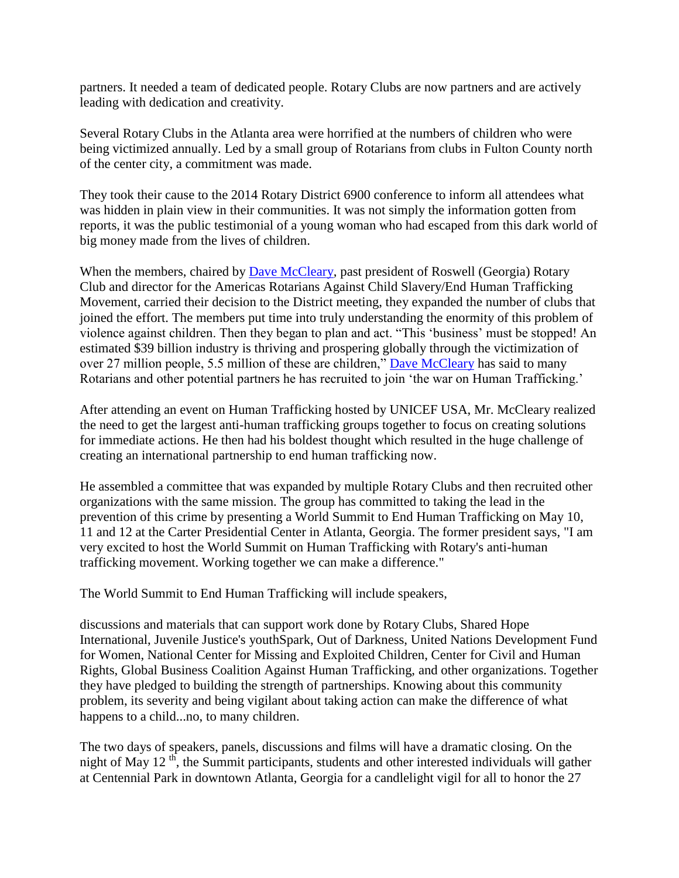partners. It needed a team of dedicated people. Rotary Clubs are now partners and are actively leading with dedication and creativity.

Several Rotary Clubs in the Atlanta area were horrified at the numbers of children who were being victimized annually. Led by a small group of Rotarians from clubs in Fulton County north of the center city, a commitment was made.

They took their cause to the 2014 Rotary District 6900 conference to inform all attendees what was hidden in plain view in their communities. It was not simply the information gotten from reports, it was the public testimonial of a young woman who had escaped from this dark world of big money made from the lives of children.

When the members, chaired by [Dave McCleary,](http://www.bizjournals.com/atlanta/search/results?q=Dave%20McCleary) past president of Roswell (Georgia) Rotary Club and director for the Americas Rotarians Against Child Slavery/End Human Trafficking Movement, carried their decision to the District meeting, they expanded the number of clubs that joined the effort. The members put time into truly understanding the enormity of this problem of violence against children. Then they began to plan and act. "This 'business' must be stopped! An estimated \$39 billion industry is thriving and prospering globally through the victimization of over 27 million people, 5.5 million of these are children," [Dave McCleary](http://www.bizjournals.com/atlanta/search/results?q=Dave%20McCleary) has said to many Rotarians and other potential partners he has recruited to join 'the war on Human Trafficking.'

After attending an event on Human Trafficking hosted by UNICEF USA, Mr. McCleary realized the need to get the largest anti-human trafficking groups together to focus on creating solutions for immediate actions. He then had his boldest thought which resulted in the huge challenge of creating an international partnership to end human trafficking now.

He assembled a committee that was expanded by multiple Rotary Clubs and then recruited other organizations with the same mission. The group has committed to taking the lead in the prevention of this crime by presenting a World Summit to End Human Trafficking on May 10, 11 and 12 at the Carter Presidential Center in Atlanta, Georgia. The former president says, "I am very excited to host the World Summit on Human Trafficking with Rotary's anti-human trafficking movement. Working together we can make a difference."

The World Summit to End Human Trafficking will include speakers,

discussions and materials that can support work done by Rotary Clubs, Shared Hope International, Juvenile Justice's youthSpark, Out of Darkness, United Nations Development Fund for Women, National Center for Missing and Exploited Children, Center for Civil and Human Rights, Global Business Coalition Against Human Trafficking, and other organizations. Together they have pledged to building the strength of partnerships. Knowing about this community problem, its severity and being vigilant about taking action can make the difference of what happens to a child...no, to many children.

The two days of speakers, panels, discussions and films will have a dramatic closing. On the night of May 12 $<sup>th</sup>$ , the Summit participants, students and other interested individuals will gather</sup> at Centennial Park in downtown Atlanta, Georgia for a candlelight vigil for all to honor the 27